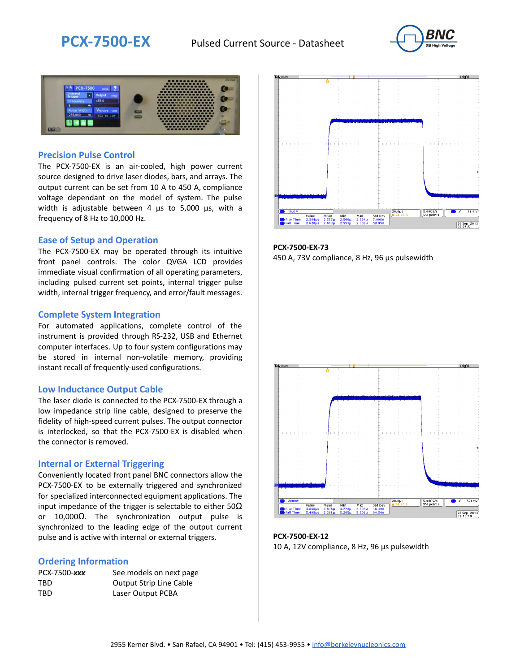



### **Precision Pulse Control**

The PCX-7500-EX is an air-cooled, high power current source designed to drive laser diodes, bars, and arrays. The output current can be set from 10 A to 450 A, compliance voltage dependant on the model of system. The pulse width is adjustable between 4 µs to 5,000 µs, with a frequency of 8 Hz to 10,000 Hz.

#### **Ease of Setup and Operation**

The PCX-7500-EX may be operated through its intuitive front panel controls. The color QVGA LCD provides immediate visual confirmation of all operating parameters, including pulsed current set points, internal trigger pulse width, internal trigger frequency, and error/fault messages.

#### **Complete System Integration**

For automated applications, complete control of the instrument is provided through RS-232, USB and Ethernet computer interfaces. Up to four system configurations may be stored in internal non-volatile memory, providing instant recall of frequently-used configurations.

#### **Low Inductance Output Cable**

The laser diode is connected to the PCX-7500-EX through a low impedance strip line cable, designed to preserve the fidelity of high-speed current pulses. The output connector is interlocked, so that the PCX-7500-EX is disabled when the connector is removed.

#### **Internal or External Triggering**

Conveniently located front panel BNC connectors allow the PCX-7500-EX to be externally triggered and synchronized for specialized interconnected equipment applications. The input impedance of the trigger is selectable to either  $50\Omega$ or 10,000Ω. The synchronization output pulse is synchronized to the leading edge of the output current pulse and is active with internal or external triggers.

#### **Ordering Information**

| PCX-7500-xxx | See models on next page        |
|--------------|--------------------------------|
| TBD          | <b>Output Strip Line Cable</b> |
| TBD          | Laser Output PCBA              |



**PCX-7500-EX-73** 450 A, 73V compliance, 8 Hz, 96 µs pulsewidth



**PCX-7500-EX-12** 10 A, 12V compliance, 8 Hz, 96 μs pulsewidth